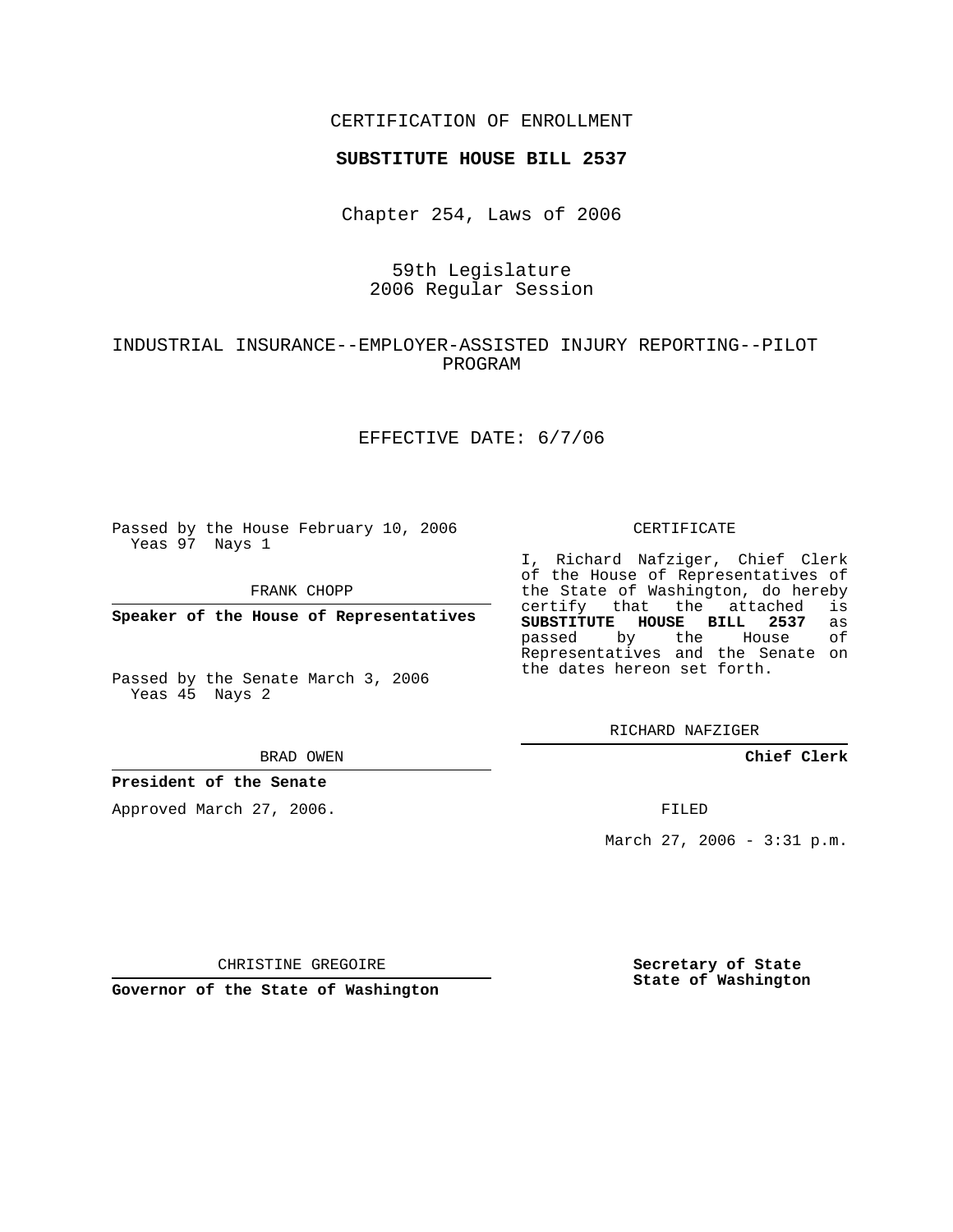## CERTIFICATION OF ENROLLMENT

### **SUBSTITUTE HOUSE BILL 2537**

Chapter 254, Laws of 2006

# 59th Legislature 2006 Regular Session

## INDUSTRIAL INSURANCE--EMPLOYER-ASSISTED INJURY REPORTING--PILOT PROGRAM

### EFFECTIVE DATE: 6/7/06

Passed by the House February 10, 2006 Yeas 97 Nays 1

FRANK CHOPP

**Speaker of the House of Representatives**

Passed by the Senate March 3, 2006 Yeas 45 Nays 2

#### BRAD OWEN

### **President of the Senate**

Approved March 27, 2006.

#### CERTIFICATE

I, Richard Nafziger, Chief Clerk of the House of Representatives of the State of Washington, do hereby<br>certify that the attached is certify that the attached **SUBSTITUTE HOUSE BILL 2537** as passed by the House of Representatives and the Senate on the dates hereon set forth.

RICHARD NAFZIGER

**Chief Clerk**

FILED

March 27, 2006 - 3:31 p.m.

CHRISTINE GREGOIRE

**Governor of the State of Washington**

**Secretary of State State of Washington**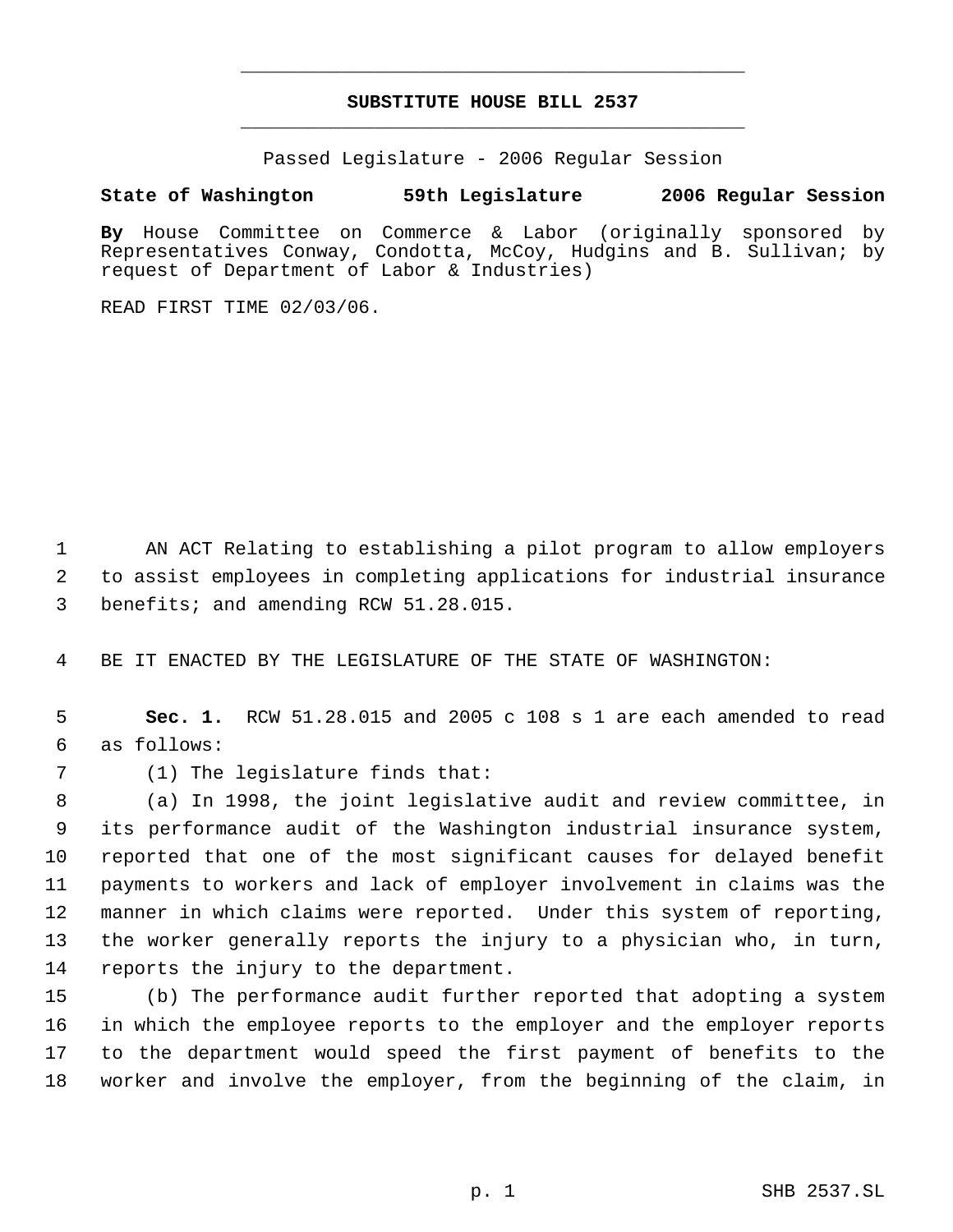# **SUBSTITUTE HOUSE BILL 2537** \_\_\_\_\_\_\_\_\_\_\_\_\_\_\_\_\_\_\_\_\_\_\_\_\_\_\_\_\_\_\_\_\_\_\_\_\_\_\_\_\_\_\_\_\_

\_\_\_\_\_\_\_\_\_\_\_\_\_\_\_\_\_\_\_\_\_\_\_\_\_\_\_\_\_\_\_\_\_\_\_\_\_\_\_\_\_\_\_\_\_

Passed Legislature - 2006 Regular Session

## **State of Washington 59th Legislature 2006 Regular Session**

**By** House Committee on Commerce & Labor (originally sponsored by Representatives Conway, Condotta, McCoy, Hudgins and B. Sullivan; by request of Department of Labor & Industries)

READ FIRST TIME 02/03/06.

 AN ACT Relating to establishing a pilot program to allow employers to assist employees in completing applications for industrial insurance benefits; and amending RCW 51.28.015.

BE IT ENACTED BY THE LEGISLATURE OF THE STATE OF WASHINGTON:

 **Sec. 1.** RCW 51.28.015 and 2005 c 108 s 1 are each amended to read as follows:

(1) The legislature finds that:

 (a) In 1998, the joint legislative audit and review committee, in its performance audit of the Washington industrial insurance system, reported that one of the most significant causes for delayed benefit payments to workers and lack of employer involvement in claims was the manner in which claims were reported. Under this system of reporting, the worker generally reports the injury to a physician who, in turn, reports the injury to the department.

 (b) The performance audit further reported that adopting a system in which the employee reports to the employer and the employer reports to the department would speed the first payment of benefits to the worker and involve the employer, from the beginning of the claim, in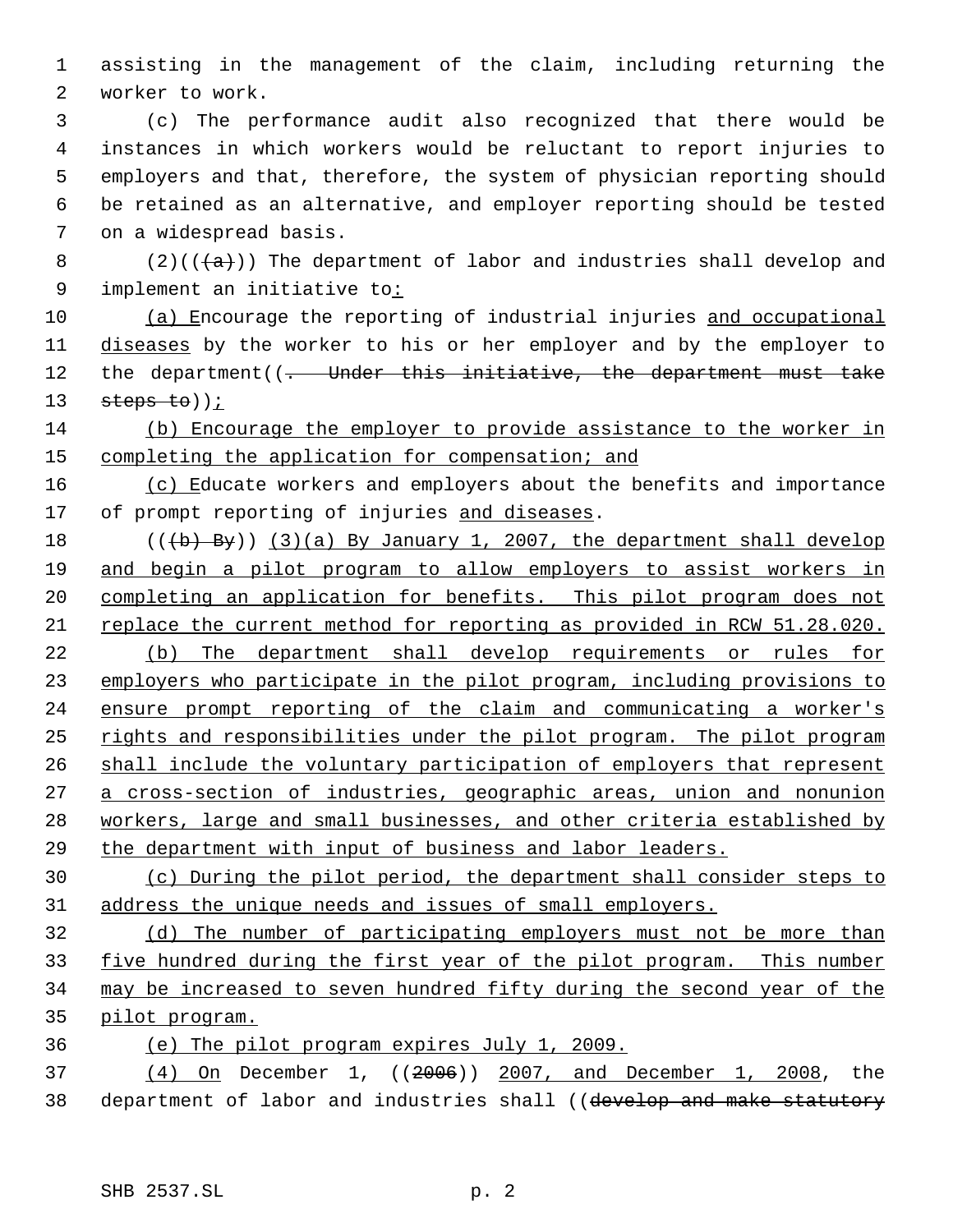assisting in the management of the claim, including returning the worker to work.

 (c) The performance audit also recognized that there would be instances in which workers would be reluctant to report injuries to employers and that, therefore, the system of physician reporting should be retained as an alternative, and employer reporting should be tested on a widespread basis.

8 (2)( $(\overline{a})$ ) The department of labor and industries shall develop and 9 implement an initiative to:

10 (a) Encourage the reporting of industrial injuries and occupational diseases by the worker to his or her employer and by the employer to 12 the department((- Under this initiative, the department must take 13  $steps to)$ ;

 (b) Encourage the employer to provide assistance to the worker in completing the application for compensation; and

16 (c) Educate workers and employers about the benefits and importance 17 of prompt reporting of injuries and diseases.

 $((+b)$  By)) (3)(a) By January 1, 2007, the department shall develop and begin a pilot program to allow employers to assist workers in completing an application for benefits. This pilot program does not replace the current method for reporting as provided in RCW 51.28.020.

 (b) The department shall develop requirements or rules for employers who participate in the pilot program, including provisions to 24 ensure prompt reporting of the claim and communicating a worker's rights and responsibilities under the pilot program. The pilot program 26 shall include the voluntary participation of employers that represent a cross-section of industries, geographic areas, union and nonunion workers, large and small businesses, and other criteria established by the department with input of business and labor leaders.

 (c) During the pilot period, the department shall consider steps to address the unique needs and issues of small employers.

 (d) The number of participating employers must not be more than five hundred during the first year of the pilot program. This number may be increased to seven hundred fifty during the second year of the pilot program.

(e) The pilot program expires July 1, 2009.

 (4) On December 1, ((2006)) 2007, and December 1, 2008, the 38 department of labor and industries shall ((develop and make statutory